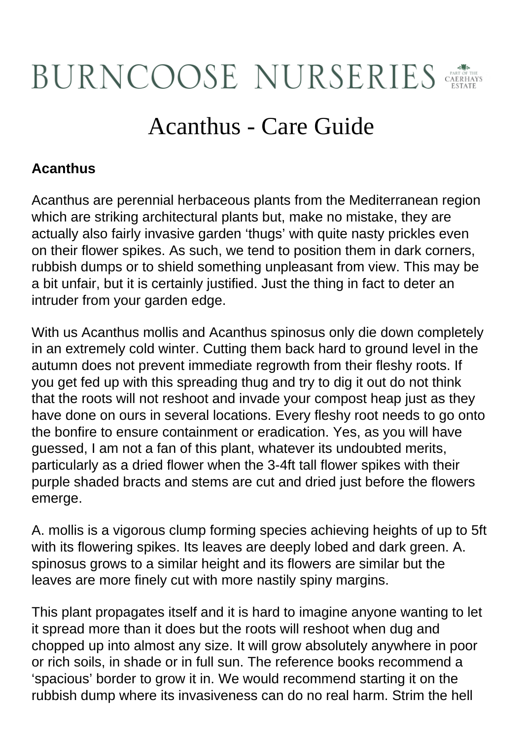## **BURNCOOSE NURSERIES**

## Acanthus - Care Guide

## **Acanthus**

Acanthus are perennial herbaceous plants from the Mediterranean region which are striking architectural plants but, make no mistake, they are actually also fairly invasive garden 'thugs' with quite nasty prickles even on their flower spikes. As such, we tend to position them in dark corners, rubbish dumps or to shield something unpleasant from view. This may be a bit unfair, but it is certainly justified. Just the thing in fact to deter an intruder from your garden edge.

With us Acanthus mollis and Acanthus spinosus only die down completely in an extremely cold winter. Cutting them back hard to ground level in the autumn does not prevent immediate regrowth from their fleshy roots. If you get fed up with this spreading thug and try to dig it out do not think that the roots will not reshoot and invade your compost heap just as they have done on ours in several locations. Every fleshy root needs to go onto the bonfire to ensure containment or eradication. Yes, as you will have guessed, I am not a fan of this plant, whatever its undoubted merits, particularly as a dried flower when the 3-4ft tall flower spikes with their purple shaded bracts and stems are cut and dried just before the flowers emerge.

A. mollis is a vigorous clump forming species achieving heights of up to 5ft with its flowering spikes. Its leaves are deeply lobed and dark green. A. spinosus grows to a similar height and its flowers are similar but the leaves are more finely cut with more nastily spiny margins.

This plant propagates itself and it is hard to imagine anyone wanting to let it spread more than it does but the roots will reshoot when dug and chopped up into almost any size. It will grow absolutely anywhere in poor or rich soils, in shade or in full sun. The reference books recommend a 'spacious' border to grow it in. We would recommend starting it on the rubbish dump where its invasiveness can do no real harm. Strim the hell